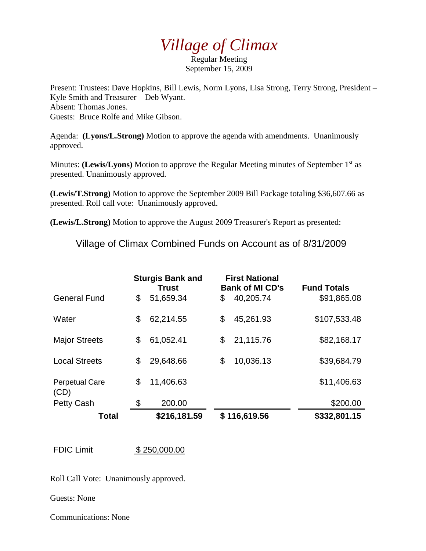## *Village of Climax*

Regular Meeting September 15, 2009

Present: Trustees: Dave Hopkins, Bill Lewis, Norm Lyons, Lisa Strong, Terry Strong, President – Kyle Smith and Treasurer – Deb Wyant. Absent: Thomas Jones. Guests: Bruce Rolfe and Mike Gibson.

Agenda: **(Lyons/L.Strong)** Motion to approve the agenda with amendments. Unanimously approved.

Minutes: **(Lewis/Lyons)** Motion to approve the Regular Meeting minutes of September 1<sup>st</sup> as presented. Unanimously approved.

**(Lewis/T.Strong)** Motion to approve the September 2009 Bill Package totaling \$36,607.66 as presented. Roll call vote: Unanimously approved.

**(Lewis/L.Strong)** Motion to approve the August 2009 Treasurer's Report as presented:

Village of Climax Combined Funds on Account as of 8/31/2009

|                               | <b>Sturgis Bank and</b><br><b>Trust</b> |              | <b>First National</b><br><b>Bank of MI CD's</b> | <b>Fund Totals</b> |
|-------------------------------|-----------------------------------------|--------------|-------------------------------------------------|--------------------|
| <b>General Fund</b>           | \$                                      | 51,659.34    | \$<br>40,205.74                                 | \$91,865.08        |
| Water                         | \$                                      | 62,214.55    | \$<br>45,261.93                                 | \$107,533.48       |
| <b>Major Streets</b>          | \$                                      | 61,052.41    | \$<br>21,115.76                                 | \$82,168.17        |
| <b>Local Streets</b>          | \$                                      | 29,648.66    | \$<br>10,036.13                                 | \$39,684.79        |
| <b>Perpetual Care</b><br>(CD) | \$                                      | 11,406.63    |                                                 | \$11,406.63        |
| <b>Petty Cash</b>             | \$                                      | 200.00       |                                                 | \$200.00           |
| Total                         |                                         | \$216,181.59 | \$116,619.56                                    | \$332,801.15       |

FDIC Limit \$ 250,000.00

Roll Call Vote: Unanimously approved.

Guests: None

Communications: None